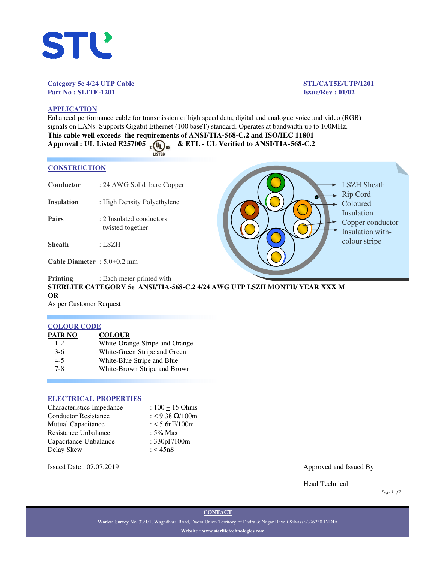

## **Category 5e 4/24 UTP Cable STL/CAT5E/UTP/1201 Part No : SLITE-1201 Issue/Rev : 01/02**

LSZH Sheath Rip Cord Coloured Insulation

Copper conductor Insulation withcolour stripe

# **APPLICATION**

Enhanced performance cable for transmission of high speed data, digital and analogue voice and video (RGB) signals on LANs. Supports Gigabit Ethernet (100 baseT) standard. Operates at bandwidth up to 100MHz. **This cable well exceeds the requirements of ANSI/TIA-568-C.2 and ISO/IEC 11801** Approval : UL Listed E257005 ( $\overline{u}_L$ )<sub>us</sub> & ETL - UL Verified to ANSI/TIA-568-C.2

| K) |  |  |
|----|--|--|

# **CONSTRUCTION**

- **Conductor** : 24 AWG Solid bare Copper
- **Insulation** : High Density Polyethylene
- **Pairs** : 2 Insulated conductors twisted together
- **Sheath** : LSZH

**Cable Diameter** : 5.0+0.2 mm

# **Printing** : Each meter printed with **STERLITE CATEGORY 5e ANSI/TIA-568-C.2 4/24 AWG UTP LSZH MONTH/ YEAR XXX M OR**

As per Customer Request

# **COLOUR CODE**

| PAIR NO | <b>COLOUR</b>          |
|---------|------------------------|
|         | $Wkin \cap \text{max}$ |

| $1 - 2$ | White-Orange Stripe and Orange |
|---------|--------------------------------|
| $3-6$   | White-Green Stripe and Green   |
| $4 - 5$ | White-Blue Stripe and Blue     |
| $7 - 8$ | White-Brown Stripe and Brown   |

## **ELECTRICAL PROPERTIES**

| Characteristics Impedance   | : $100 + 15$ Ohms      |
|-----------------------------|------------------------|
| <b>Conductor Resistance</b> | : < 9.38 $\Omega/100m$ |
| <b>Mutual Capacitance</b>   | : $< 5.6$ nF/100m      |
| Resistance Unbalance        | : $5\%$ Max            |
| Capacitance Unbalance       | : 330pF/100m           |
| Delay Skew                  | : $<$ 45nS             |

Issued Date : 07.07.2019 Approved and Issued By

Head Technical

*Page 1 of 2*

**Works:** Survey No. 33/1/1, Waghdhara Road, Dadra Union Territory of Dadra & Nagar Haveli Silvassa-396230 INDIA **Website : www.sterlitetechnologies.com**